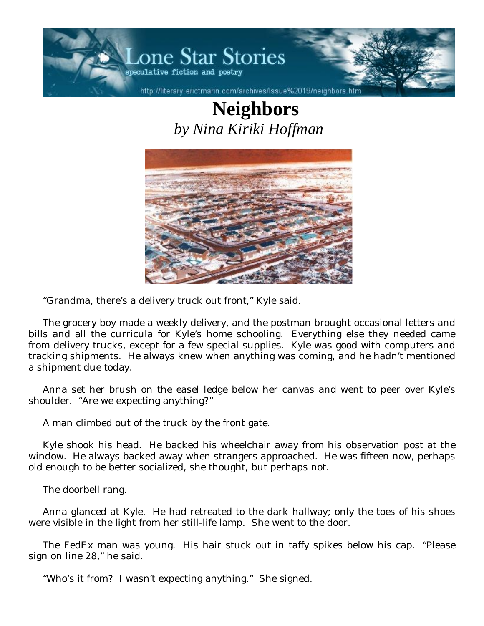

## **Neighbors**  *by Nina Kiriki Hoffman*



"Grandma, there's a delivery truck out front," Kyle said.

The grocery boy made a weekly delivery, and the postman brought occasional letters and bills and all the curricula for Kyle's home schooling. Everything else they needed came from delivery trucks, except for a few special supplies. Kyle was good with computers and tracking shipments. He always knew when anything was coming, and he hadn't mentioned a shipment due today.

Anna set her brush on the easel ledge below her canvas and went to peer over Kyle's shoulder. "Are we expecting anything?"

A man climbed out of the truck by the front gate.

Kyle shook his head. He backed his wheelchair away from his observation post at the window. He always backed away when strangers approached. He was fifteen now, perhaps old enough to be better socialized, she thought, but perhaps not.

The doorbell rang.

Anna glanced at Kyle. He had retreated to the dark hallway; only the toes of his shoes were visible in the light from her still-life lamp. She went to the door.

The FedEx man was young. His hair stuck out in taffy spikes below his cap. "Please sign on line 28," he said.

"Who's it from? I wasn't expecting anything." She signed.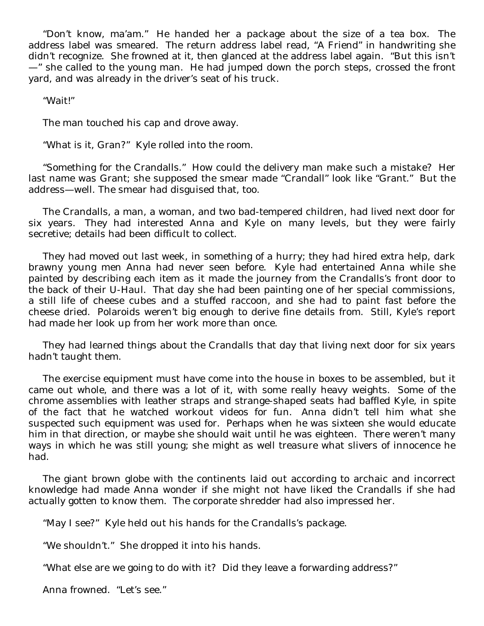"Don't know, ma'am." He handed her a package about the size of a tea box. The address label was smeared. The return address label read, "A Friend" in handwriting she didn't recognize. She frowned at it, then glanced at the address label again. "But this isn't —" she called to the young man. He had jumped down the porch steps, crossed the front yard, and was already in the driver's seat of his truck.

"Wait!"

The man touched his cap and drove away.

"What is it, Gran?" Kyle rolled into the room.

"Something for the Crandalls." How could the delivery man make such a mistake? Her last name was Grant; she supposed the smear made "Crandall" look like "Grant." But the address—well. The smear had disguised that, too.

The Crandalls, a man, a woman, and two bad-tempered children, had lived next door for six years. They had interested Anna and Kyle on many levels, but they were fairly secretive; details had been difficult to collect.

They had moved out last week, in something of a hurry; they had hired extra help, dark brawny young men Anna had never seen before. Kyle had entertained Anna while she painted by describing each item as it made the journey from the Crandalls's front door to the back of their U-Haul. That day she had been painting one of her special commissions, a still life of cheese cubes and a stuffed raccoon, and she had to paint fast before the cheese dried. Polaroids weren't big enough to derive fine details from. Still, Kyle's report had made her look up from her work more than once.

They had learned things about the Crandalls that day that living next door for six years hadn't taught them.

The exercise equipment must have come into the house in boxes to be assembled, but it came out whole, and there was a lot of it, with some really heavy weights. Some of the chrome assemblies with leather straps and strange-shaped seats had baffled Kyle, in spite of the fact that he watched workout videos for fun. Anna didn't tell him what she suspected such equipment was used for. Perhaps when he was sixteen she would educate him in that direction, or maybe she should wait until he was eighteen. There weren't many ways in which he was still young; she might as well treasure what slivers of innocence he had.

The giant brown globe with the continents laid out according to archaic and incorrect knowledge had made Anna wonder if she might not have liked the Crandalls if she had actually gotten to know them. The corporate shredder had also impressed her.

"May I see?" Kyle held out his hands for the Crandalls's package.

"We shouldn't." She dropped it into his hands.

"What else are we going to do with it? Did they leave a forwarding address?"

Anna frowned. "Let's see."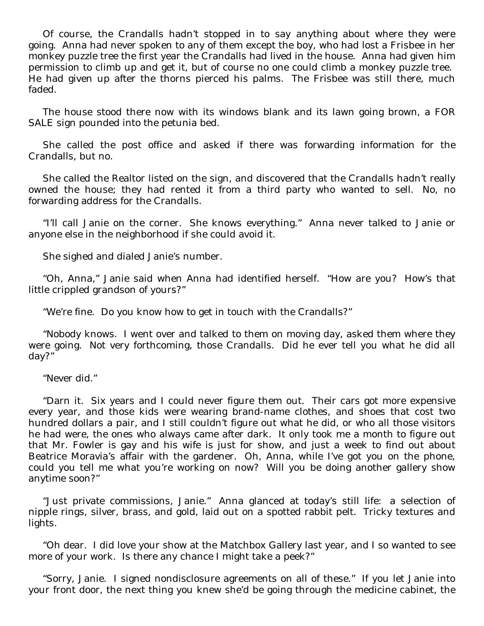Of course, the Crandalls hadn't stopped in to say anything about where they were going. Anna had never spoken to any of them except the boy, who had lost a Frisbee in her monkey puzzle tree the first year the Crandalls had lived in the house. Anna had given him permission to climb up and get it, but of course no one could climb a monkey puzzle tree. He had given up after the thorns pierced his palms. The Frisbee was still there, much faded.

The house stood there now with its windows blank and its lawn going brown, a FOR SALE sign pounded into the petunia bed.

She called the post office and asked if there was forwarding information for the Crandalls, but no.

She called the Realtor listed on the sign, and discovered that the Crandalls hadn't really owned the house; they had rented it from a third party who wanted to sell. No, no forwarding address for the Crandalls.

"I'll call Janie on the corner. She knows everything." Anna never talked to Janie or anyone else in the neighborhood if she could avoid it.

She sighed and dialed Janie's number.

"Oh, Anna," Janie said when Anna had identified herself. "How are you? How's that little crippled grandson of yours?"

"We're fine. Do you know how to get in touch with the Crandalls?"

"Nobody knows. I went over and talked to them on moving day, asked them where they were going. Not very forthcoming, those Crandalls. Did he ever tell you what he did all day?"

"Never did."

"Darn it. Six years and I could never figure them out. Their cars got more expensive every year, and those kids were wearing brand-name clothes, and shoes that cost two hundred dollars a pair, and I still couldn't figure out what he did, or who all those visitors he had were, the ones who always came after dark. It only took me a month to figure out that Mr. Fowler is gay and his wife is just for show, and just a week to find out about Beatrice Moravia's affair with the gardener. Oh, Anna, while I've got you on the phone, could you tell me what you're working on now? Will you be doing another gallery show anytime soon?"

"Just private commissions, Janie." Anna glanced at today's still life: a selection of nipple rings, silver, brass, and gold, laid out on a spotted rabbit pelt. Tricky textures and lights.

"Oh dear. I did love your show at the Matchbox Gallery last year, and I so wanted to see more of your work. Is there any chance I might take a peek?"

"Sorry, Janie. I signed nondisclosure agreements on all of these." If you let Janie into your front door, the next thing you knew she'd be going through the medicine cabinet, the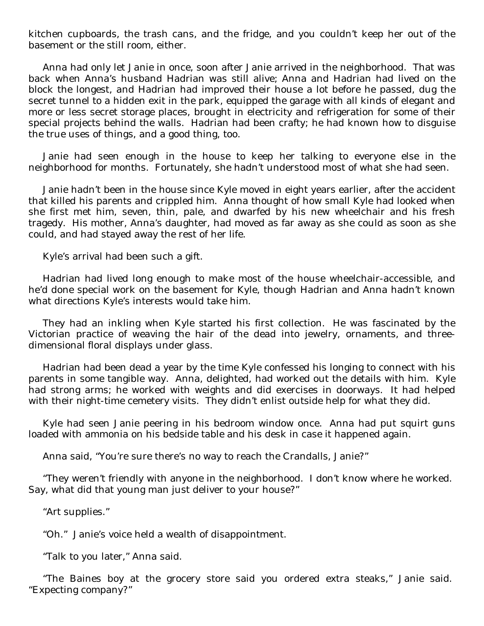kitchen cupboards, the trash cans, and the fridge, and you couldn't keep her out of the basement or the still room, either.

Anna had only let Janie in once, soon after Janie arrived in the neighborhood. That was back when Anna's husband Hadrian was still alive; Anna and Hadrian had lived on the block the longest, and Hadrian had improved their house a lot before he passed, dug the secret tunnel to a hidden exit in the park, equipped the garage with all kinds of elegant and more or less secret storage places, brought in electricity and refrigeration for some of their special projects behind the walls. Hadrian had been crafty; he had known how to disguise the true uses of things, and a good thing, too.

Janie had seen enough in the house to keep her talking to everyone else in the neighborhood for months. Fortunately, she hadn't understood most of what she had seen.

Janie hadn't been in the house since Kyle moved in eight years earlier, after the accident that killed his parents and crippled him. Anna thought of how small Kyle had looked when she first met him, seven, thin, pale, and dwarfed by his new wheelchair and his fresh tragedy. His mother, Anna's daughter, had moved as far away as she could as soon as she could, and had stayed away the rest of her life.

Kyle's arrival had been such a gift.

Hadrian had lived long enough to make most of the house wheelchair-accessible, and he'd done special work on the basement for Kyle, though Hadrian and Anna hadn't known what directions Kyle's interests would take him.

They had an inkling when Kyle started his first collection. He was fascinated by the Victorian practice of weaving the hair of the dead into jewelry, ornaments, and threedimensional floral displays under glass.

Hadrian had been dead a year by the time Kyle confessed his longing to connect with his parents in some tangible way. Anna, delighted, had worked out the details with him. Kyle had strong arms; he worked with weights and did exercises in doorways. It had helped with their night-time cemetery visits. They didn't enlist outside help for what they did.

Kyle had seen Janie peering in his bedroom window once. Anna had put squirt guns loaded with ammonia on his bedside table and his desk in case it happened again.

Anna said, "You're sure there's no way to reach the Crandalls, Janie?"

"They weren't friendly with anyone in the neighborhood. I don't know where he worked. Say, what did that young man just deliver to your house?"

"Art supplies."

"Oh." Janie's voice held a wealth of disappointment.

"Talk to you later," Anna said.

"The Baines boy at the grocery store said you ordered extra steaks," Janie said. "Expecting company?"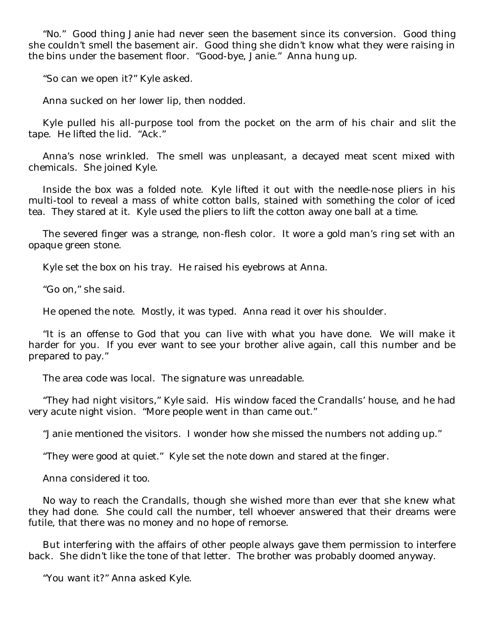"No." Good thing Janie had never seen the basement since its conversion. Good thing she couldn't smell the basement air. Good thing she didn't know what they were raising in the bins under the basement floor. "Good-bye, Janie." Anna hung up.

"So can we open it?" Kyle asked.

Anna sucked on her lower lip, then nodded.

Kyle pulled his all-purpose tool from the pocket on the arm of his chair and slit the tape. He lifted the lid. "Ack."

Anna's nose wrinkled. The smell was unpleasant, a decayed meat scent mixed with chemicals. She joined Kyle.

Inside the box was a folded note. Kyle lifted it out with the needle-nose pliers in his multi-tool to reveal a mass of white cotton balls, stained with something the color of iced tea. They stared at it. Kyle used the pliers to lift the cotton away one ball at a time.

The severed finger was a strange, non-flesh color. It wore a gold man's ring set with an opaque green stone.

Kyle set the box on his tray. He raised his eyebrows at Anna.

"Go on," she said.

He opened the note. Mostly, it was typed. Anna read it over his shoulder.

"It is an offense to God that you can live with what you have done. We will make it harder for you. If you ever want to see your brother alive again, call this number and be prepared to pay."

The area code was local. The signature was unreadable.

"They had night visitors," Kyle said. His window faced the Crandalls' house, and he had very acute night vision. "More people went in than came out."

"Janie mentioned the visitors. I wonder how she missed the numbers not adding up."

"They were good at quiet." Kyle set the note down and stared at the finger.

Anna considered it too.

No way to reach the Crandalls, though she wished more than ever that she knew what they had done. She could call the number, tell whoever answered that their dreams were futile, that there was no money and no hope of remorse.

But interfering with the affairs of other people always gave them permission to interfere back. She didn't like the tone of that letter. The brother was probably doomed anyway.

"You want it?" Anna asked Kyle.